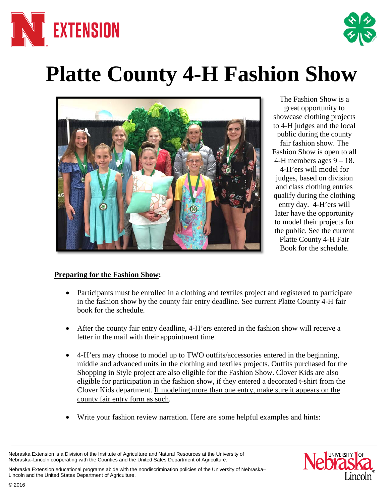



# **Platte County 4-H Fashion Show**



The Fashion Show is a great opportunity to showcase clothing projects to 4-H judges and the local public during the county fair fashion show. The Fashion Show is open to all 4-H members ages  $9 - 18$ . 4-H'ers will model for judges, based on division and class clothing entries qualify during the clothing entry day. 4-H'ers will later have the opportunity to model their projects for the public. See the current Platte County 4-H Fair Book for the schedule.

# **Preparing for the Fashion Show:**

- Participants must be enrolled in a clothing and textiles project and registered to participate in the fashion show by the county fair entry deadline. See current Platte County 4-H fair book for the schedule.
- After the county fair entry deadline, 4-H'ers entered in the fashion show will receive a letter in the mail with their appointment time.
- 4-H'ers may choose to model up to TWO outfits/accessories entered in the beginning, middle and advanced units in the clothing and textiles projects. Outfits purchased for the Shopping in Style project are also eligible for the Fashion Show. Clover Kids are also eligible for participation in the fashion show, if they entered a decorated t-shirt from the Clover Kids department. If modeling more than one entry, make sure it appears on the county fair entry form as such.
- Write your fashion review narration. Here are some helpful examples and hints:

Nebraska Extension is a Division of the Institute of Agriculture and Natural Resources at the University of Nebraska–Lincoln cooperating with the Counties and the United Sates Department of Agriculture.

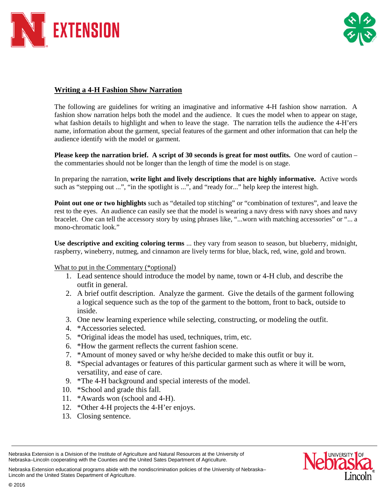



### **Writing a 4-H Fashion Show Narration**

The following are guidelines for writing an imaginative and informative 4-H fashion show narration. A fashion show narration helps both the model and the audience. It cues the model when to appear on stage, what fashion details to highlight and when to leave the stage. The narration tells the audience the 4-H'ers name, information about the garment, special features of the garment and other information that can help the audience identify with the model or garment.

**Please keep the narration brief.** A script of 30 seconds is great for most outfits. One word of caution – the commentaries should not be longer than the length of time the model is on stage.

In preparing the narration, **write light and lively descriptions that are highly informative.** Active words such as "stepping out ...", "in the spotlight is ...", and "ready for..." help keep the interest high.

**Point out one or two highlights** such as "detailed top stitching" or "combination of textures", and leave the rest to the eyes. An audience can easily see that the model is wearing a navy dress with navy shoes and navy bracelet. One can tell the accessory story by using phrases like, "...worn with matching accessories" or "... a mono-chromatic look."

**Use descriptive and exciting coloring terms** ... they vary from season to season, but blueberry, midnight, raspberry, wineberry, nutmeg, and cinnamon are lively terms for blue, black, red, wine, gold and brown.

#### What to put in the Commentary (\*optional)

- 1. Lead sentence should introduce the model by name, town or 4-H club, and describe the outfit in general.
- 2. A brief outfit description. Analyze the garment. Give the details of the garment following a logical sequence such as the top of the garment to the bottom, front to back, outside to inside.
- 3. One new learning experience while selecting, constructing, or modeling the outfit.
- 4. \*Accessories selected.
- 5. \*Original ideas the model has used, techniques, trim, etc.
- 6. \*How the garment reflects the current fashion scene.
- 7. \*Amount of money saved or why he/she decided to make this outfit or buy it.
- 8. \*Special advantages or features of this particular garment such as where it will be worn, versatility, and ease of care.
- 9. \*The 4-H background and special interests of the model.
- 10. \*School and grade this fall.
- 11. \*Awards won (school and 4-H).
- 12. \*Other 4-H projects the 4-H'er enjoys.
- 13. Closing sentence.

Nebraska Extension is a Division of the Institute of Agriculture and Natural Resources at the University of Nebraska–Lincoln cooperating with the Counties and the United Sates Department of Agriculture.

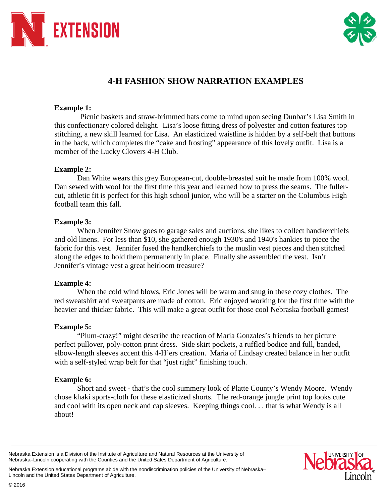



# **4-H FASHION SHOW NARRATION EXAMPLES**

#### **Example 1:**

Picnic baskets and straw-brimmed hats come to mind upon seeing Dunbar's Lisa Smith in this confectionary colored delight. Lisa's loose fitting dress of polyester and cotton features top stitching, a new skill learned for Lisa. An elasticized waistline is hidden by a self-belt that buttons in the back, which completes the "cake and frosting" appearance of this lovely outfit. Lisa is a member of the Lucky Clovers 4-H Club.

# **Example 2:**

Dan White wears this grey European-cut, double-breasted suit he made from 100% wool. Dan sewed with wool for the first time this year and learned how to press the seams. The fullercut, athletic fit is perfect for this high school junior, who will be a starter on the Columbus High football team this fall.

#### **Example 3:**

When Jennifer Snow goes to garage sales and auctions, she likes to collect handkerchiefs and old linens. For less than \$10, she gathered enough 1930's and 1940's hankies to piece the fabric for this vest. Jennifer fused the handkerchiefs to the muslin vest pieces and then stitched along the edges to hold them permanently in place. Finally she assembled the vest. Isn't Jennifer's vintage vest a great heirloom treasure?

# **Example 4:**

When the cold wind blows, Eric Jones will be warm and snug in these cozy clothes. The red sweatshirt and sweatpants are made of cotton. Eric enjoyed working for the first time with the heavier and thicker fabric. This will make a great outfit for those cool Nebraska football games!

#### **Example 5:**

"Plum-crazy!" might describe the reaction of Maria Gonzales's friends to her picture perfect pullover, poly-cotton print dress. Side skirt pockets, a ruffled bodice and full, banded, elbow-length sleeves accent this 4-H'ers creation. Maria of Lindsay created balance in her outfit with a self-styled wrap belt for that "just right" finishing touch.

#### **Example 6:**

Short and sweet - that's the cool summery look of Platte County's Wendy Moore. Wendy chose khaki sports-cloth for these elasticized shorts. The red-orange jungle print top looks cute and cool with its open neck and cap sleeves. Keeping things cool. . . that is what Wendy is all about!

Nebraska Extension is a Division of the Institute of Agriculture and Natural Resources at the University of Nebraska–Lincoln cooperating with the Counties and the United Sates Department of Agriculture.

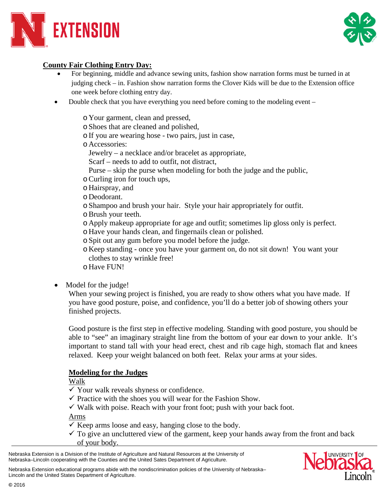



# **County Fair Clothing Entry Day:**

- For beginning, middle and advance sewing units, fashion show narration forms must be turned in at judging check – in. Fashion show narration forms the Clover Kids will be due to the Extension office one week before clothing entry day.
- Double check that you have everything you need before coming to the modeling event
	- o Your garment, clean and pressed,
	- oShoes that are cleaned and polished,
	- oIf you are wearing hose two pairs, just in case,
	- o Accessories:
	- Jewelry a necklace and/or bracelet as appropriate,
	- Scarf needs to add to outfit, not distract,
	- Purse skip the purse when modeling for both the judge and the public,
	- oCurling iron for touch ups,
	- o Hairspray, and
	- o Deodorant.
	- oShampoo and brush your hair. Style your hair appropriately for outfit.
	- oBrush your teeth.
	- o Apply makeup appropriate for age and outfit; sometimes lip gloss only is perfect.
	- o Have your hands clean, and fingernails clean or polished.
	- oSpit out any gum before you model before the judge.
	- o Keep standing once you have your garment on, do not sit down! You want your clothes to stay wrinkle free!
	- o Have FUN!
- Model for the judge!

When your sewing project is finished, you are ready to show others what you have made. If you have good posture, poise, and confidence, you'll do a better job of showing others your finished projects.

Good posture is the first step in effective modeling. Standing with good posture, you should be able to "see" an imaginary straight line from the bottom of your ear down to your ankle. It's important to stand tall with your head erect, chest and rib cage high, stomach flat and knees relaxed. Keep your weight balanced on both feet. Relax your arms at your sides.

#### **Modeling for the Judges**

Walk

- $\checkmark$  Your walk reveals shyness or confidence.
- $\checkmark$  Practice with the shoes you will wear for the Fashion Show.
- $\checkmark$  Walk with poise. Reach with your front foot; push with your back foot.

Arms

- $\checkmark$  Keep arms loose and easy, hanging close to the body.
- $\checkmark$  To give an uncluttered view of the garment, keep your hands away from the front and back of your body.

Nebraska Extension is a Division of the Institute of Agriculture and Natural Resources at the University of Nebraska–Lincoln cooperating with the Counties and the United Sates Department of Agriculture.

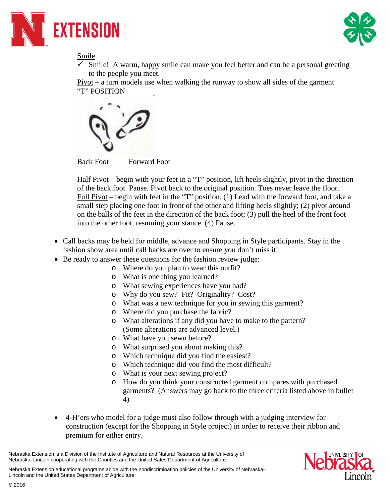



Smile

 Smile! A warm, happy smile can make you feel better and can be a personal greeting to the people you meet.

Pivot **–** a turn models use when walking the runway to show all sides of the garment "T" POSITION





Half Pivot – begin with your feet in a "T" position, lift heels slightly, pivot in the direction of the back foot. Pause. Pivot back to the original position. Toes never leave the floor. Full Pivot – begin with feet in the "T" position. (1) Lead with the forward foot, and take a small step placing one foot in front of the other and lifting heels slightly; (2) pivot around on the balls of the feet in the direction of the back foot; (3) pull the heel of the front foot into the other foot, resuming your stance. (4) Pause.

- Call backs may be held for middle, advance and Shopping in Style participants. Stay in the fashion show area until call backs are over to ensure you don't miss it!
- Be ready to answer these questions for the fashion review judge:
	- o Where do you plan to wear this outfit?
	- o What is one thing you learned?
	- o What sewing experiences have you had?
	- o Why do you sew? Fit? Originality? Cost?
	- o What was a new technique for you in sewing this garment?
	- o Where did you purchase the fabric?
	- o What alterations if any did you have to make to the pattern? (Some alterations are advanced level.)
	- o What have you sewn before?
	- o What surprised you about making this?
	- o Which technique did you find the easiest?
	- o Which technique did you find the most difficult?
	- o What is your next sewing project?
	- o How do you think your constructed garment compares with purchased garments? (Answers may go back to the three criteria listed above in bullet 4)
- 4-H'ers who model for a judge must also follow through with a judging interview for construction (except for the Shopping in Style project) in order to receive their ribbon and premium for either entry.

Nebraska Extension is a Division of the Institute of Agriculture and Natural Resources at the University of Nebraska–Lincoln cooperating with the Counties and the United Sates Department of Agriculture.